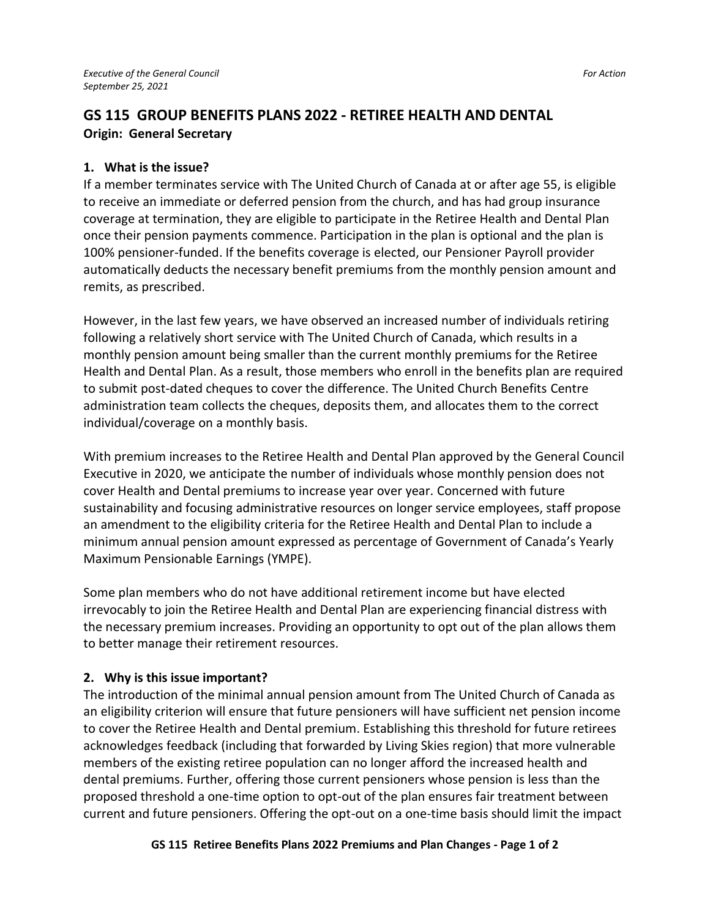# **GS 115 GROUP BENEFITS PLANS 2022 - RETIREE HEALTH AND DENTAL Origin: General Secretary**

#### **1. What is the issue?**

If a member terminates service with The United Church of Canada at or after age 55, is eligible to receive an immediate or deferred pension from the church, and has had group insurance coverage at termination, they are eligible to participate in the Retiree Health and Dental Plan once their pension payments commence. Participation in the plan is optional and the plan is 100% pensioner-funded. If the benefits coverage is elected, our Pensioner Payroll provider automatically deducts the necessary benefit premiums from the monthly pension amount and remits, as prescribed.

However, in the last few years, we have observed an increased number of individuals retiring following a relatively short service with The United Church of Canada, which results in a monthly pension amount being smaller than the current monthly premiums for the Retiree Health and Dental Plan. As a result, those members who enroll in the benefits plan are required to submit post-dated cheques to cover the difference. The United Church Benefits Centre administration team collects the cheques, deposits them, and allocates them to the correct individual/coverage on a monthly basis.

With premium increases to the Retiree Health and Dental Plan approved by the General Council Executive in 2020, we anticipate the number of individuals whose monthly pension does not cover Health and Dental premiums to increase year over year. Concerned with future sustainability and focusing administrative resources on longer service employees, staff propose an amendment to the eligibility criteria for the Retiree Health and Dental Plan to include a minimum annual pension amount expressed as percentage of Government of Canada's Yearly Maximum Pensionable Earnings (YMPE).

Some plan members who do not have additional retirement income but have elected irrevocably to join the Retiree Health and Dental Plan are experiencing financial distress with the necessary premium increases. Providing an opportunity to opt out of the plan allows them to better manage their retirement resources.

#### **2. Why is this issue important?**

The introduction of the minimal annual pension amount from The United Church of Canada as an eligibility criterion will ensure that future pensioners will have sufficient net pension income to cover the Retiree Health and Dental premium. Establishing this threshold for future retirees acknowledges feedback (including that forwarded by Living Skies region) that more vulnerable members of the existing retiree population can no longer afford the increased health and dental premiums. Further, offering those current pensioners whose pension is less than the proposed threshold a one-time option to opt-out of the plan ensures fair treatment between current and future pensioners. Offering the opt-out on a one-time basis should limit the impact